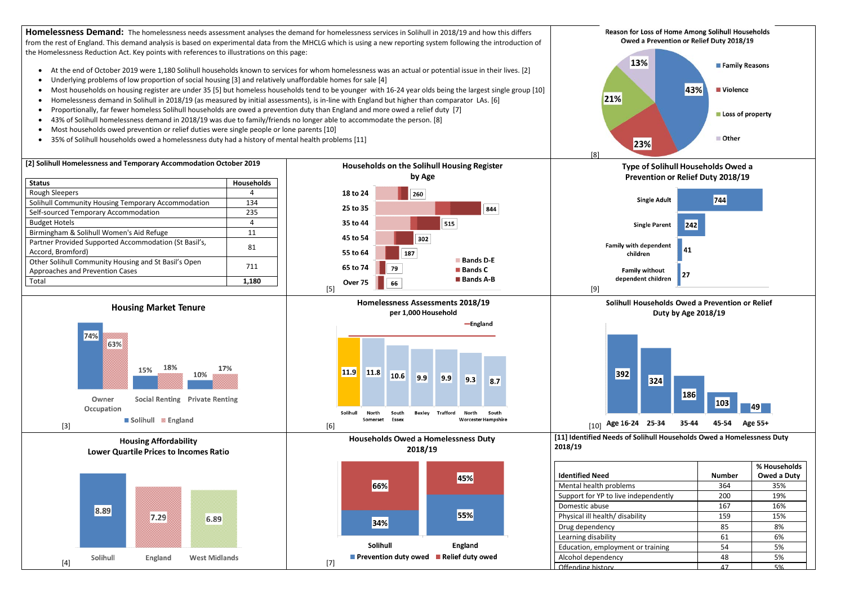Homelessness Demand: The homelessness needs assessment analyses the demand for homelessness services in Solihull in 2018/19 and how this differs from the rest of England. This demand analysis is based on experimental data from the MHCLG which is using a new reporting system following the introduction of the Homelessness Reduction Act. Key points with references to illustrations on this page:





|             | <b>Number</b> | % Households<br>Owed a Duty |
|-------------|---------------|-----------------------------|
|             | 364           | 35%                         |
| ependently  | 200           | 19%                         |
|             | 167           | 16%                         |
| ity         | 159           | 15%                         |
|             | 85            | 8%                          |
|             | 61            | 6%                          |
| or training | 54            | 5%                          |
|             | 48            | 5%                          |
|             | 17            | 5%                          |

- 
- 
- 
- 
- 
- 
- 
- 35% of Solihull households owed a homelessness duty had a history of mental health problems [11]